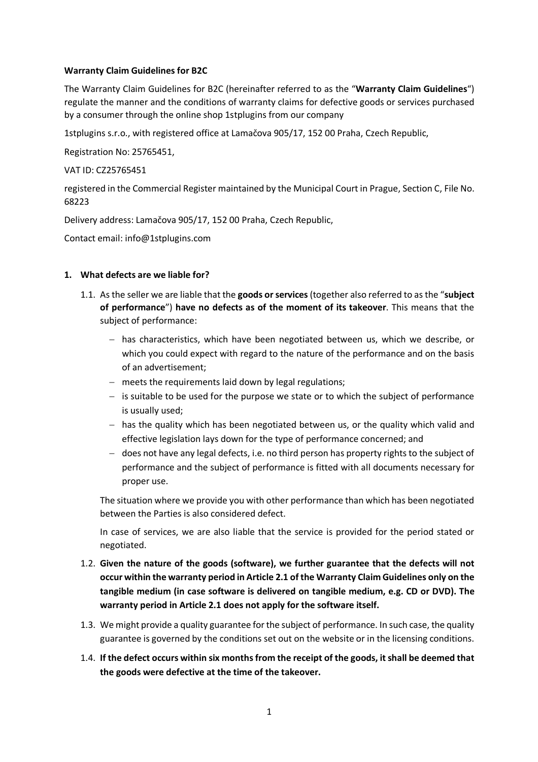## **Warranty Claim Guidelines for B2C**

The Warranty Claim Guidelines for B2C (hereinafter referred to as the "**Warranty Claim Guidelines**") regulate the manner and the conditions of warranty claims for defective goods or services purchased by a consumer through the online shop 1stplugins from our company

1stplugins s.r.o., with registered office at Lamačova 905/17, 152 00 Praha, Czech Republic,

Registration No: 25765451,

VAT ID: CZ25765451

registered in the Commercial Register maintained by the Municipal Court in Prague, Section C, File No. 68223

Delivery address: Lamačova 905/17, 152 00 Praha, Czech Republic,

Contact email: info@1stplugins.com

#### **1. What defects are we liable for?**

- 1.1. As the seller we are liable that the **goods or services** (together also referred to as the "**subject of performance**") **have no defects as of the moment of its takeover**. This means that the subject of performance:
	- has characteristics, which have been negotiated between us, which we describe, or which you could expect with regard to the nature of the performance and on the basis of an advertisement;
	- meets the requirements laid down by legal regulations;
	- $-$  is suitable to be used for the purpose we state or to which the subject of performance is usually used;
	- $-$  has the quality which has been negotiated between us, or the quality which valid and effective legislation lays down for the type of performance concerned; and
	- does not have any legal defects, i.e. no third person has property rights to the subject of performance and the subject of performance is fitted with all documents necessary for proper use.

The situation where we provide you with other performance than which has been negotiated between the Parties is also considered defect.

In case of services, we are also liable that the service is provided for the period stated or negotiated.

- 1.2. **Given the nature of the goods (software), we further guarantee that the defects will not occur within the warranty period in Article 2.1 of the Warranty Claim Guidelines only on the tangible medium (in case software is delivered on tangible medium, e.g. CD or DVD). The warranty period in Article 2.1 does not apply for the software itself.**
- 1.3. We might provide a quality guarantee for the subject of performance. In such case, the quality guarantee is governed by the conditions set out on the website or in the licensing conditions.
- 1.4. **If the defect occurs within six months from the receipt of the goods, it shall be deemed that the goods were defective at the time of the takeover.**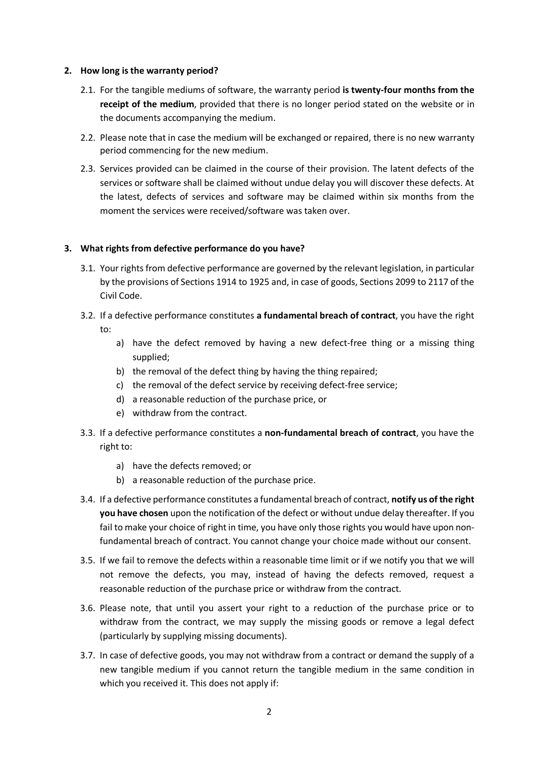#### **2. How long is the warranty period?**

- 2.1. For the tangible mediums of software, the warranty period **is twenty-four months from the receipt of the medium**, provided that there is no longer period stated on the website or in the documents accompanying the medium.
- 2.2. Please note that in case the medium will be exchanged or repaired, there is no new warranty period commencing for the new medium.
- 2.3. Services provided can be claimed in the course of their provision. The latent defects of the services or software shall be claimed without undue delay you will discover these defects. At the latest, defects of services and software may be claimed within six months from the moment the services were received/software was taken over.

## **3. What rights from defective performance do you have?**

- 3.1. Your rights from defective performance are governed by the relevant legislation, in particular by the provisions of Sections 1914 to 1925 and, in case of goods, Sections 2099 to 2117 of the Civil Code.
- 3.2. If a defective performance constitutes **a fundamental breach of contract**, you have the right to:
	- a) have the defect removed by having a new defect-free thing or a missing thing supplied;
	- b) the removal of the defect thing by having the thing repaired;
	- c) the removal of the defect service by receiving defect-free service;
	- d) a reasonable reduction of the purchase price, or
	- e) withdraw from the contract.
- 3.3. If a defective performance constitutes a **non-fundamental breach of contract**, you have the right to:
	- a) have the defects removed; or
	- b) a reasonable reduction of the purchase price.
- 3.4. If a defective performance constitutes a fundamental breach of contract, **notify us of the right you have chosen** upon the notification of the defect or without undue delay thereafter. If you fail to make your choice of right in time, you have only those rights you would have upon nonfundamental breach of contract. You cannot change your choice made without our consent.
- 3.5. If we fail to remove the defects within a reasonable time limit or if we notify you that we will not remove the defects, you may, instead of having the defects removed, request a reasonable reduction of the purchase price or withdraw from the contract.
- 3.6. Please note, that until you assert your right to a reduction of the purchase price or to withdraw from the contract, we may supply the missing goods or remove a legal defect (particularly by supplying missing documents).
- 3.7. In case of defective goods, you may not withdraw from a contract or demand the supply of a new tangible medium if you cannot return the tangible medium in the same condition in which you received it. This does not apply if: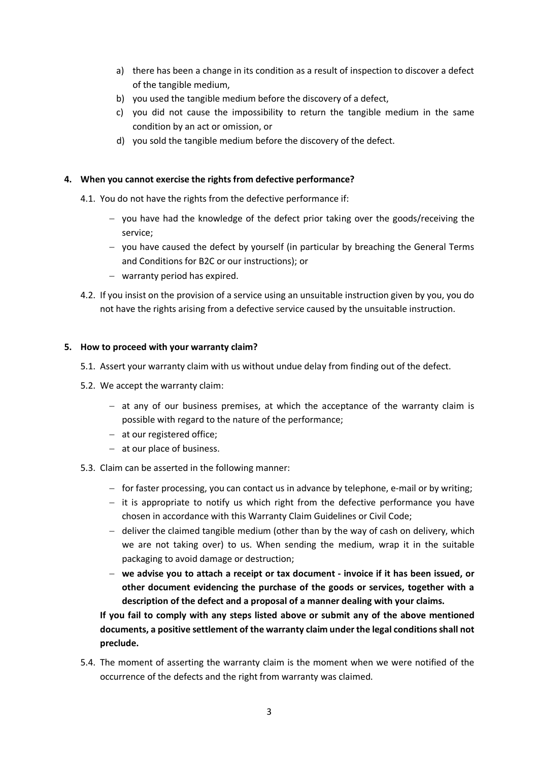- a) there has been a change in its condition as a result of inspection to discover a defect of the tangible medium,
- b) you used the tangible medium before the discovery of a defect,
- c) you did not cause the impossibility to return the tangible medium in the same condition by an act or omission, or
- d) you sold the tangible medium before the discovery of the defect.

# **4. When you cannot exercise the rights from defective performance?**

- 4.1. You do not have the rights from the defective performance if:
	- $-$  you have had the knowledge of the defect prior taking over the goods/receiving the service;
	- you have caused the defect by yourself (in particular by breaching the General Terms and Conditions for B2C or our instructions); or
	- warranty period has expired.
- 4.2. If you insist on the provision of a service using an unsuitable instruction given by you, you do not have the rights arising from a defective service caused by the unsuitable instruction.

## **5. How to proceed with your warranty claim?**

- 5.1. Assert your warranty claim with us without undue delay from finding out of the defect.
- 5.2. We accept the warranty claim:
	- at any of our business premises, at which the acceptance of the warranty claim is possible with regard to the nature of the performance;
	- at our registered office;
	- at our place of business.
- 5.3. Claim can be asserted in the following manner:
	- for faster processing, you can contact us in advance by telephone, e-mail or by writing;
	- $-$  it is appropriate to notify us which right from the defective performance you have chosen in accordance with this Warranty Claim Guidelines or Civil Code;
	- $-$  deliver the claimed tangible medium (other than by the way of cash on delivery, which we are not taking over) to us. When sending the medium, wrap it in the suitable packaging to avoid damage or destruction;
	- **we advise you to attach a receipt or tax document - invoice if it has been issued, or other document evidencing the purchase of the goods or services, together with a description of the defect and a proposal of a manner dealing with your claims.**

**If you fail to comply with any steps listed above or submit any of the above mentioned documents, a positive settlement of the warranty claim under the legal conditions shall not preclude.**

5.4. The moment of asserting the warranty claim is the moment when we were notified of the occurrence of the defects and the right from warranty was claimed.